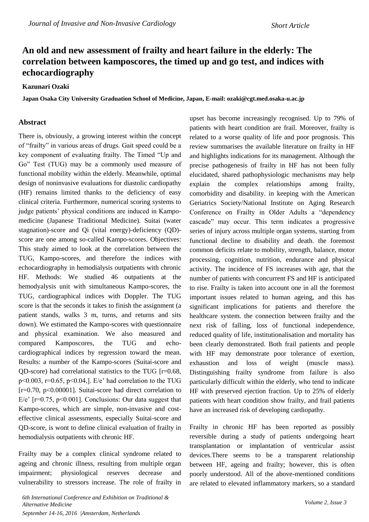## **An old and new assessment of frailty and heart failure in the elderly: The correlation between kamposcores, the timed up and go test, and indices with echocardiography**

## **Kazunari Ozaki**

**Japan Osaka City University Graduation School of Medicine, Japan, E-mail: ozaki@cgt.med.osaka-u.ac.jp**

## **Abstract**

There is, obviously, a growing interest within the concept of "frailty" in various areas of drugs. Gait speed could be a key component of evaluating frailty. The Timed "Up and Go" Test (TUG) may be a commonly used measure of functional mobility within the elderly. Meanwhile, optimal design of noninvasive evaluations for diastolic cardiopathy (HF) remains limited thanks to the deficiency of easy clinical criteria. Furthermore, numerical scoring systems to judge patients' physical conditions are induced in Kampomedicine (Japanese Traditional Medicine). Suitai (water stagnation)-score and Qi (vital energy)-deficiency (QD) score are one among so-called Kampo-scores. Objectives: This study aimed to look at the correlation between the TUG, Kampo-scores, and therefore the indices with echocardiography in hemodialysis outpatients with chronic HF. Methods: We studied 46 outpatients at the hemodyalysis unit with simultaneous Kampo-scores, the TUG, cardiographical indices with Doppler. The TUG score is that the seconds it takes to finish the assignment (a patient stands, walks 3 m, turns, and returns and sits down). We estimated the Kampo-scores with questionnaire and physical examination. We also measured and compared Kamposcores, the TUG and echocardiographical indices by regression toward the mean. Results: a number of the Kampo-scores (Suitai-score and OD-score) had correlational statistics to the TUG  $[r=0.68]$ ,  $p<0.003$ ,  $r=0.65$ ,  $p<0.04$ , E/e' had correlation to the TUG [r=0.70, p<0.00001]. Suitai-score had direct correlation to E/e'  $[r=0.75, p<0.001]$ . Conclusions: Our data suggest that Kampo-scores, which are simple, non-invasive and costeffective clinical assessments, especially Suitai-score and QD-score, is wont to define clinical evaluation of frailty in hemodialysis outpatients with chronic HF.

Frailty may be a complex clinical syndrome related to ageing and chronic illness, resulting from multiple organ impairment; physiological reserves decrease and vulnerability to stressors increase. The role of frailty in

patients with heart condition are frail. Moreover, frailty is related to a worse quality of life and poor prognosis. This review summarises the available literature on frailty in HF and highlights indications for its management. Although the precise pathogenesis of frailty in HF has not been fully elucidated, shared pathophysiologic mechanisms may help explain the complex relationships among frailty, comorbidity and disability. in keeping with the American Geriatrics Society/National Institute on Aging Research Conference on Frailty in Older Adults a "dependency cascade" may occur. This term indicates a progressive series of injury across multiple organ systems, starting from functional decline to disability and death. the foremost common deficits relate to mobility, strength, balance, motor processing, cognition, nutrition, endurance and physical activity. The incidence of FS increases with age, that the number of patients with concurrent FS and HF is anticipated to rise. Frailty is taken into account one in all the foremost important issues related to human ageing, and this has significant implications for patients and therefore the healthcare system. the connection between frailty and the next risk of falling, loss of functional independence, reduced quality of life, institutionalisation and mortality has been clearly demonstrated. Both frail patients and people with HF may demonstrate poor tolerance of exertion, exhaustion and loss of weight (muscle mass). Distinguishing frailty syndrome from failure is also particularly difficult within the elderly, who tend to indicate HF with preserved ejection fraction. Up to 25% of elderly patients with heart condition show frailty, and frail patients have an increased risk of developing cardiopathy.

upset has become increasingly recognised. Up to 79% of

Frailty in chronic HF has been reported as possibly reversible during a study of patients undergoing heart transplantation or implantation of ventricular assist devices.There seems to be a transparent relationship between HF, ageing and frailty; however, this is often poorly understood. All of the above-mentioned conditions are related to elevated inflammatory markers, so a standard